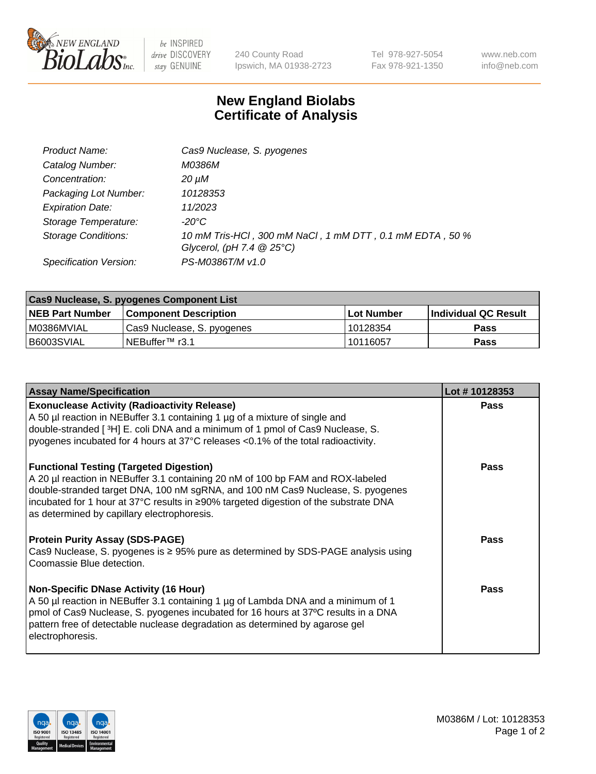

 $be$  INSPIRED drive DISCOVERY stay GENUINE

240 County Road Ipswich, MA 01938-2723 Tel 978-927-5054 Fax 978-921-1350 www.neb.com info@neb.com

## **New England Biolabs Certificate of Analysis**

| Product Name:              | Cas9 Nuclease, S. pyogenes                                                              |
|----------------------------|-----------------------------------------------------------------------------------------|
| Catalog Number:            | M0386M                                                                                  |
| Concentration:             | 20 µM                                                                                   |
| Packaging Lot Number:      | 10128353                                                                                |
| <b>Expiration Date:</b>    | 11/2023                                                                                 |
| Storage Temperature:       | -20°C                                                                                   |
| <b>Storage Conditions:</b> | 10 mM Tris-HCl, 300 mM NaCl, 1 mM DTT, 0.1 mM EDTA, 50 %<br>Glycerol, (pH 7.4 $@25°C$ ) |
| Specification Version:     | PS-M0386T/M v1.0                                                                        |

| Cas9 Nuclease, S. pyogenes Component List |                              |                   |                      |  |  |
|-------------------------------------------|------------------------------|-------------------|----------------------|--|--|
| <b>NEB Part Number</b>                    | <b>Component Description</b> | <b>Lot Number</b> | Individual QC Result |  |  |
| I M0386MVIAL                              | Cas9 Nuclease, S. pyogenes   | 10128354          | <b>Pass</b>          |  |  |
| I B6003SVIAL                              | INEBuffer <sup>™</sup> r3.1  | 10116057          | <b>Pass</b>          |  |  |

| <b>Assay Name/Specification</b>                                                                                                                                                                                                                                                                                                                             | Lot #10128353 |
|-------------------------------------------------------------------------------------------------------------------------------------------------------------------------------------------------------------------------------------------------------------------------------------------------------------------------------------------------------------|---------------|
| <b>Exonuclease Activity (Radioactivity Release)</b><br>A 50 µl reaction in NEBuffer 3.1 containing 1 µg of a mixture of single and<br>double-stranded [3H] E. coli DNA and a minimum of 1 pmol of Cas9 Nuclease, S.<br>pyogenes incubated for 4 hours at 37°C releases <0.1% of the total radioactivity.                                                    | Pass          |
| <b>Functional Testing (Targeted Digestion)</b><br>A 20 µl reaction in NEBuffer 3.1 containing 20 nM of 100 bp FAM and ROX-labeled<br>double-stranded target DNA, 100 nM sgRNA, and 100 nM Cas9 Nuclease, S. pyogenes<br>incubated for 1 hour at 37°C results in ≥90% targeted digestion of the substrate DNA<br>as determined by capillary electrophoresis. | Pass          |
| <b>Protein Purity Assay (SDS-PAGE)</b><br>Cas9 Nuclease, S. pyogenes is ≥ 95% pure as determined by SDS-PAGE analysis using<br>Coomassie Blue detection.                                                                                                                                                                                                    | <b>Pass</b>   |
| <b>Non-Specific DNase Activity (16 Hour)</b><br>A 50 µl reaction in NEBuffer 3.1 containing 1 µg of Lambda DNA and a minimum of 1<br>pmol of Cas9 Nuclease, S. pyogenes incubated for 16 hours at 37°C results in a DNA<br>pattern free of detectable nuclease degradation as determined by agarose gel<br>electrophoresis.                                 | Pass          |